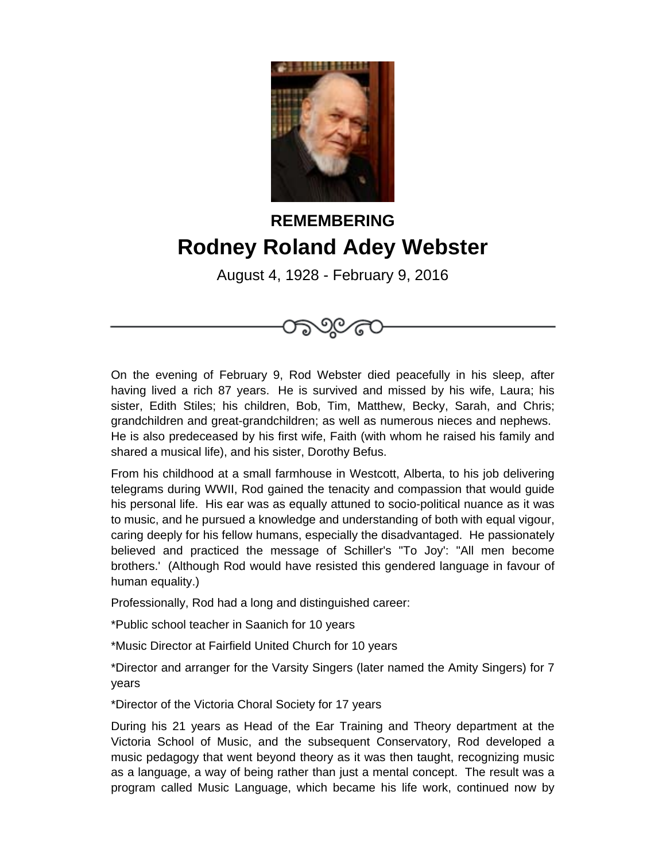

## **REMEMBERING Rodney Roland Adey Webster**

August 4, 1928 - February 9, 2016



On the evening of February 9, Rod Webster died peacefully in his sleep, after having lived a rich 87 years. He is survived and missed by his wife, Laura; his sister, Edith Stiles; his children, Bob, Tim, Matthew, Becky, Sarah, and Chris; grandchildren and great-grandchildren; as well as numerous nieces and nephews. He is also predeceased by his first wife, Faith (with whom he raised his family and shared a musical life), and his sister, Dorothy Befus.

From his childhood at a small farmhouse in Westcott, Alberta, to his job delivering telegrams during WWII, Rod gained the tenacity and compassion that would guide his personal life. His ear was as equally attuned to socio-political nuance as it was to music, and he pursued a knowledge and understanding of both with equal vigour, caring deeply for his fellow humans, especially the disadvantaged. He passionately believed and practiced the message of Schiller's "To Joy': "All men become brothers.' (Although Rod would have resisted this gendered language in favour of human equality.)

Professionally, Rod had a long and distinguished career:

\*Public school teacher in Saanich for 10 years

\*Music Director at Fairfield United Church for 10 years

\*Director and arranger for the Varsity Singers (later named the Amity Singers) for 7 years

\*Director of the Victoria Choral Society for 17 years

During his 21 years as Head of the Ear Training and Theory department at the Victoria School of Music, and the subsequent Conservatory, Rod developed a music pedagogy that went beyond theory as it was then taught, recognizing music as a language, a way of being rather than just a mental concept. The result was a program called Music Language, which became his life work, continued now by